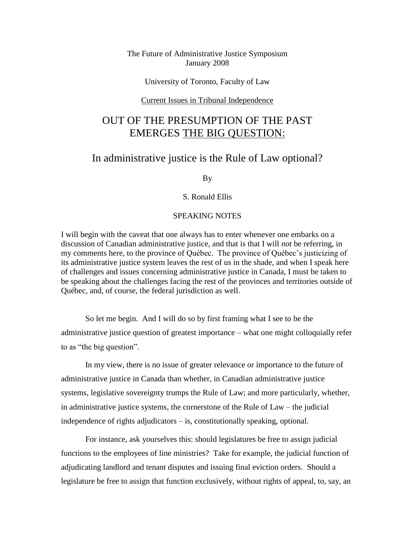### The Future of Administrative Justice Symposium January 2008

University of Toronto, Faculty of Law

#### Current Issues in Tribunal Independence

# OUT OF THE PRESUMPTION OF THE PAST EMERGES THE BIG QUESTION:

## In administrative justice is the Rule of Law optional?

By

### S. Ronald Ellis

### SPEAKING NOTES

I will begin with the caveat that one always has to enter whenever one embarks on a discussion of Canadian administrative justice, and that is that I will *not* be referring, in my comments here, to the province of Québec. The province of Québec's justicizing of its administrative justice system leaves the rest of us in the shade, and when I speak here of challenges and issues concerning administrative justice in Canada, I must be taken to be speaking about the challenges facing the rest of the provinces and territories outside of Québec, and, of course, the federal jurisdiction as well.

So let me begin. And I will do so by first framing what I see to be the administrative justice question of greatest importance – what one might colloquially refer to as "the big question".

In my view, there is no issue of greater relevance or importance to the future of administrative justice in Canada than whether, in Canadian administrative justice systems, legislative sovereignty trumps the Rule of Law; and more particularly, whether, in administrative justice systems, the cornerstone of the Rule of Law – the judicial independence of rights adjudicators – is, constitutionally speaking, optional.

For instance, ask yourselves this: should legislatures be free to assign judicial functions to the employees of line ministries? Take for example, the judicial function of adjudicating landlord and tenant disputes and issuing final eviction orders. Should a legislature be free to assign that function exclusively, without rights of appeal, to, say, an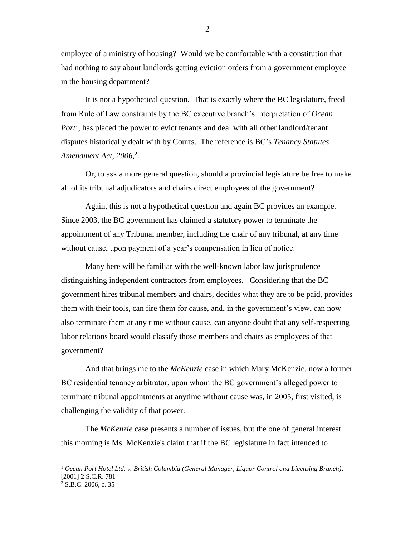employee of a ministry of housing? Would we be comfortable with a constitution that had nothing to say about landlords getting eviction orders from a government employee in the housing department?

It is not a hypothetical question. That is exactly where the BC legislature, freed from Rule of Law constraints by the BC executive branch's interpretation of *Ocean Port<sup>1</sup>* , has placed the power to evict tenants and deal with all other landlord/tenant disputes historically dealt with by Courts. The reference is BC's *Tenancy Statutes Amendment Act, 2006*, 2 .

Or, to ask a more general question, should a provincial legislature be free to make all of its tribunal adjudicators and chairs direct employees of the government?

Again, this is not a hypothetical question and again BC provides an example. Since 2003, the BC government has claimed a statutory power to terminate the appointment of any Tribunal member, including the chair of any tribunal, at any time without cause, upon payment of a year's compensation in lieu of notice.

Many here will be familiar with the well-known labor law jurisprudence distinguishing independent contractors from employees. Considering that the BC government hires tribunal members and chairs, decides what they are to be paid, provides them with their tools, can fire them for cause, and, in the government's view, can now also terminate them at any time without cause, can anyone doubt that any self-respecting labor relations board would classify those members and chairs as employees of that government?

And that brings me to the *McKenzie* case in which Mary McKenzie, now a former BC residential tenancy arbitrator, upon whom the BC government's alleged power to terminate tribunal appointments at anytime without cause was, in 2005, first visited, is challenging the validity of that power.

The *McKenzie* case presents a number of issues, but the one of general interest this morning is Ms. McKenzie's claim that if the BC legislature in fact intended to

<sup>1</sup> *Ocean Port Hotel Ltd. v. British Columbia (General Manager, Liquor Control and Licensing Branch)*, [2001] 2 S.C.R. 781

<sup>2</sup> S.B.C. 2006, c. 35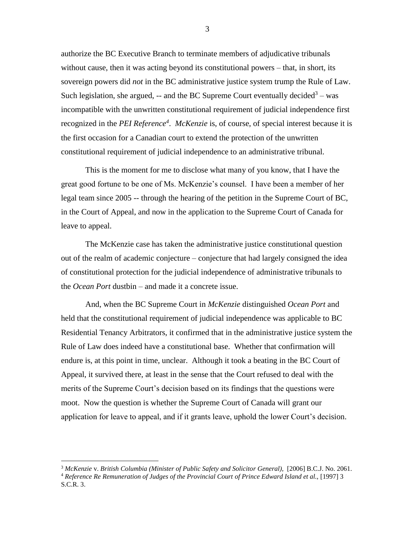authorize the BC Executive Branch to terminate members of adjudicative tribunals without cause, then it was acting beyond its constitutional powers – that, in short, its sovereign powers did *not* in the BC administrative justice system trump the Rule of Law. Such legislation, she argued,  $-$  and the BC Supreme Court eventually decided<sup>3</sup> – was incompatible with the unwritten constitutional requirement of judicial independence first recognized in the *PEI Reference<sup>4</sup>* . *McKenzie* is, of course, of special interest because it is the first occasion for a Canadian court to extend the protection of the unwritten constitutional requirement of judicial independence to an administrative tribunal.

This is the moment for me to disclose what many of you know, that I have the great good fortune to be one of Ms. McKenzie's counsel. I have been a member of her legal team since 2005 -- through the hearing of the petition in the Supreme Court of BC, in the Court of Appeal, and now in the application to the Supreme Court of Canada for leave to appeal.

The McKenzie case has taken the administrative justice constitutional question out of the realm of academic conjecture – conjecture that had largely consigned the idea of constitutional protection for the judicial independence of administrative tribunals to the *Ocean Port* dustbin – and made it a concrete issue.

And, when the BC Supreme Court in *McKenzie* distinguished *Ocean Port* and held that the constitutional requirement of judicial independence was applicable to BC Residential Tenancy Arbitrators, it confirmed that in the administrative justice system the Rule of Law does indeed have a constitutional base. Whether that confirmation will endure is, at this point in time, unclear. Although it took a beating in the BC Court of Appeal, it survived there, at least in the sense that the Court refused to deal with the merits of the Supreme Court's decision based on its findings that the questions were moot. Now the question is whether the Supreme Court of Canada will grant our application for leave to appeal, and if it grants leave, uphold the lower Court's decision.

<sup>3</sup> *McKenzie* v. *British Columbia (Minister of Public Safety and Solicitor General),* [2006] B.C.J. No. 2061.

<sup>4</sup> *Reference Re Remuneration of Judges of the Provincial Court of Prince Edward Island et al.,* [1997] 3 S.C.R. 3.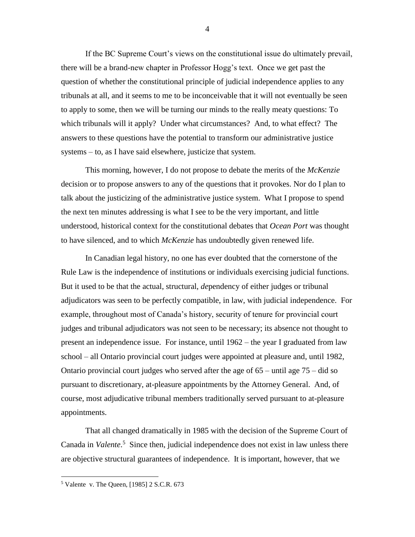If the BC Supreme Court's views on the constitutional issue do ultimately prevail, there will be a brand-new chapter in Professor Hogg's text. Once we get past the question of whether the constitutional principle of judicial independence applies to any tribunals at all, and it seems to me to be inconceivable that it will not eventually be seen to apply to some, then we will be turning our minds to the really meaty questions: To which tribunals will it apply? Under what circumstances? And, to what effect? The answers to these questions have the potential to transform our administrative justice systems – to, as I have said elsewhere, justicize that system.

This morning, however, I do not propose to debate the merits of the *McKenzie* decision or to propose answers to any of the questions that it provokes. Nor do I plan to talk about the justicizing of the administrative justice system. What I propose to spend the next ten minutes addressing is what I see to be the very important, and little understood, historical context for the constitutional debates that *Ocean Port* was thought to have silenced, and to which *McKenzie* has undoubtedly given renewed life.

In Canadian legal history, no one has ever doubted that the cornerstone of the Rule Law is the independence of institutions or individuals exercising judicial functions. But it used to be that the actual, structural, *de*pendency of either judges or tribunal adjudicators was seen to be perfectly compatible, in law, with judicial independence. For example, throughout most of Canada's history, security of tenure for provincial court judges and tribunal adjudicators was not seen to be necessary; its absence not thought to present an independence issue. For instance, until 1962 – the year I graduated from law school – all Ontario provincial court judges were appointed at pleasure and, until 1982, Ontario provincial court judges who served after the age of  $65 -$  until age  $75 -$  did so pursuant to discretionary, at-pleasure appointments by the Attorney General. And, of course, most adjudicative tribunal members traditionally served pursuant to at-pleasure appointments.

That all changed dramatically in 1985 with the decision of the Supreme Court of Canada in *Valente*.<sup>5</sup> Since then, judicial independence does not exist in law unless there are objective structural guarantees of independence. It is important, however, that we

 $\overline{a}$ 

4

<sup>5</sup> Valente v. The Queen, [1985] 2 S.C.R. 673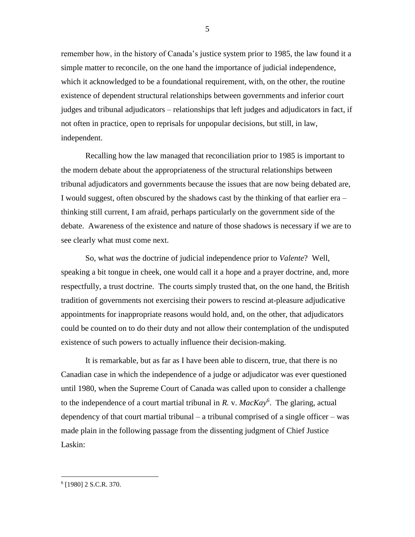remember how, in the history of Canada's justice system prior to 1985, the law found it a simple matter to reconcile, on the one hand the importance of judicial independence, which it acknowledged to be a foundational requirement, with, on the other, the routine existence of dependent structural relationships between governments and inferior court judges and tribunal adjudicators – relationships that left judges and adjudicators in fact, if not often in practice, open to reprisals for unpopular decisions, but still, in law, independent.

Recalling how the law managed that reconciliation prior to 1985 is important to the modern debate about the appropriateness of the structural relationships between tribunal adjudicators and governments because the issues that are now being debated are, I would suggest, often obscured by the shadows cast by the thinking of that earlier era – thinking still current, I am afraid, perhaps particularly on the government side of the debate. Awareness of the existence and nature of those shadows is necessary if we are to see clearly what must come next.

So, what *was* the doctrine of judicial independence prior to *Valente*? Well, speaking a bit tongue in cheek, one would call it a hope and a prayer doctrine, and, more respectfully, a trust doctrine. The courts simply trusted that, on the one hand, the British tradition of governments not exercising their powers to rescind at-pleasure adjudicative appointments for inappropriate reasons would hold, and, on the other, that adjudicators could be counted on to do their duty and not allow their contemplation of the undisputed existence of such powers to actually influence their decision-making.

It is remarkable, but as far as I have been able to discern, true, that there is no Canadian case in which the independence of a judge or adjudicator was ever questioned until 1980, when the Supreme Court of Canada was called upon to consider a challenge to the independence of a court martial tribunal in *R.* v. *MacKay<sup>6</sup>* . The glaring, actual dependency of that court martial tribunal – a tribunal comprised of a single officer – was made plain in the following passage from the dissenting judgment of Chief Justice Laskin:

5

<sup>6</sup> [1980] 2 S.C.R. 370.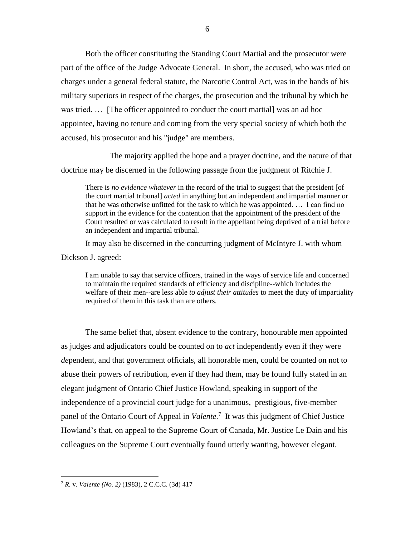Both the officer constituting the Standing Court Martial and the prosecutor were part of the office of the Judge Advocate General. In short, the accused, who was tried on charges under a general federal statute, the Narcotic Control Act, was in the hands of his military superiors in respect of the charges, the prosecution and the tribunal by which he was tried. … [The officer appointed to conduct the court martial] was an ad hoc appointee, having no tenure and coming from the very special society of which both the accused, his prosecutor and his "judge" are members.

The majority applied the hope and a prayer doctrine, and the nature of that doctrine may be discerned in the following passage from the judgment of Ritchie J.

There is *no evidence whatever* in the record of the trial to suggest that the president [of the court martial tribunal] *acted* in anything but an independent and impartial manner or that he was otherwise unfitted for the task to which he was appointed. … I can find no support in the evidence for the contention that the appointment of the president of the Court resulted or was calculated to result in the appellant being deprived of a trial before an independent and impartial tribunal.

It may also be discerned in the concurring judgment of McIntyre J. with whom Dickson J. agreed:

I am unable to say that service officers, trained in the ways of service life and concerned to maintain the required standards of efficiency and discipline--which includes the welfare of their men--are less able *to adjust their attitudes* to meet the duty of impartiality required of them in this task than are others.

The same belief that, absent evidence to the contrary, honourable men appointed as judges and adjudicators could be counted on to *act* independently even if they were *de*pendent, and that government officials, all honorable men, could be counted on not to abuse their powers of retribution, even if they had them, may be found fully stated in an elegant judgment of Ontario Chief Justice Howland, speaking in support of the independence of a provincial court judge for a unanimous, prestigious, five-member panel of the Ontario Court of Appeal in *Valente*.<sup>7</sup> It was this judgment of Chief Justice Howland's that, on appeal to the Supreme Court of Canada, Mr. Justice Le Dain and his colleagues on the Supreme Court eventually found utterly wanting, however elegant.

<sup>7</sup> *R.* v. *Valente (No. 2)* (1983), 2 C.C.C. (3d) 417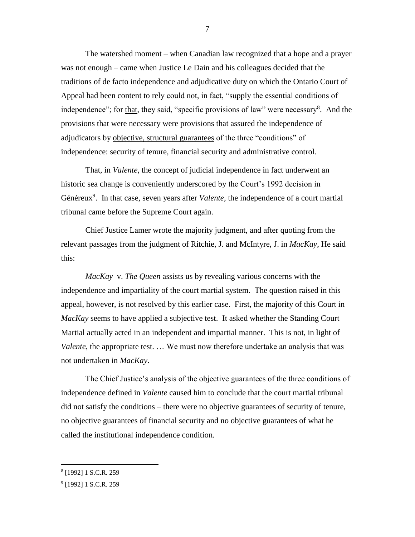The watershed moment – when Canadian law recognized that a hope and a prayer was not enough – came when Justice Le Dain and his colleagues decided that the traditions of de facto independence and adjudicative duty on which the Ontario Court of Appeal had been content to rely could not, in fact, "supply the essential conditions of independence"; for that, they said, "specific provisions of law" were necessary<sup>8</sup>. And the provisions that were necessary were provisions that assured the independence of adjudicators by objective, structural guarantees of the three "conditions" of independence: security of tenure, financial security and administrative control.

That, in *Valente*, the concept of judicial independence in fact underwent an historic sea change is conveniently underscored by the Court's 1992 decision in Généreux<sup>9</sup>. In that case, seven years after *Valente*, the independence of a court martial tribunal came before the Supreme Court again.

Chief Justice Lamer wrote the majority judgment, and after quoting from the relevant passages from the judgment of Ritchie, J. and McIntyre, J. in *MacKay*, He said this:

*MacKay* v. *The Queen* assists us by revealing various concerns with the independence and impartiality of the court martial system. The question raised in this appeal, however, is not resolved by this earlier case. First, the majority of this Court in *MacKay* seems to have applied a subjective test. It asked whether the Standing Court Martial actually acted in an independent and impartial manner. This is not, in light of *Valente*, the appropriate test. … We must now therefore undertake an analysis that was not undertaken in *MacKay*.

The Chief Justice's analysis of the objective guarantees of the three conditions of independence defined in *Valente* caused him to conclude that the court martial tribunal did not satisfy the conditions – there were no objective guarantees of security of tenure, no objective guarantees of financial security and no objective guarantees of what he called the institutional independence condition.

 $\overline{a}$ 

7

<sup>8</sup> [1992] 1 S.C.R. 259

<sup>&</sup>lt;sup>9</sup> [1992] 1 S.C.R. 259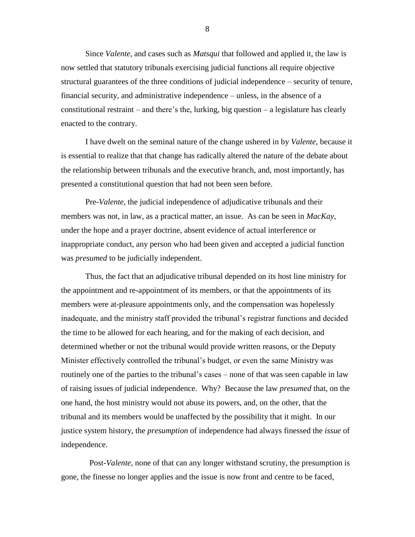Since *Valente*, and cases such as *Matsqui* that followed and applied it, the law is now settled that statutory tribunals exercising judicial functions all require objective structural guarantees of the three conditions of judicial independence – security of tenure, financial security, and administrative independence – unless, in the absence of a constitutional restraint – and there's the, lurking, big question – a legislature has clearly enacted to the contrary.

I have dwelt on the seminal nature of the change ushered in by *Valente*, because it is essential to realize that that change has radically altered the nature of the debate about the relationship between tribunals and the executive branch, and, most importantly, has presented a constitutional question that had not been seen before.

Pre-*Valente*, the judicial independence of adjudicative tribunals and their members was not, in law, as a practical matter, an issue. As can be seen in *MacKay*, under the hope and a prayer doctrine, absent evidence of actual interference or inappropriate conduct, any person who had been given and accepted a judicial function was *presumed* to be judicially independent.

Thus, the fact that an adjudicative tribunal depended on its host line ministry for the appointment and re-appointment of its members, or that the appointments of its members were at-pleasure appointments only, and the compensation was hopelessly inadequate, and the ministry staff provided the tribunal's registrar functions and decided the time to be allowed for each hearing, and for the making of each decision, and determined whether or not the tribunal would provide written reasons, or the Deputy Minister effectively controlled the tribunal's budget, or even the same Ministry was routinely one of the parties to the tribunal's cases – none of that was seen capable in law of raising issues of judicial independence. Why? Because the law *presumed* that, on the one hand, the host ministry would not abuse its powers, and, on the other, that the tribunal and its members would be unaffected by the possibility that it might. In our justice system history, the *presumption* of independence had always finessed the *issue* of independence.

 Post-*Valente*, none of that can any longer withstand scrutiny, the presumption is gone, the finesse no longer applies and the issue is now front and centre to be faced,

8